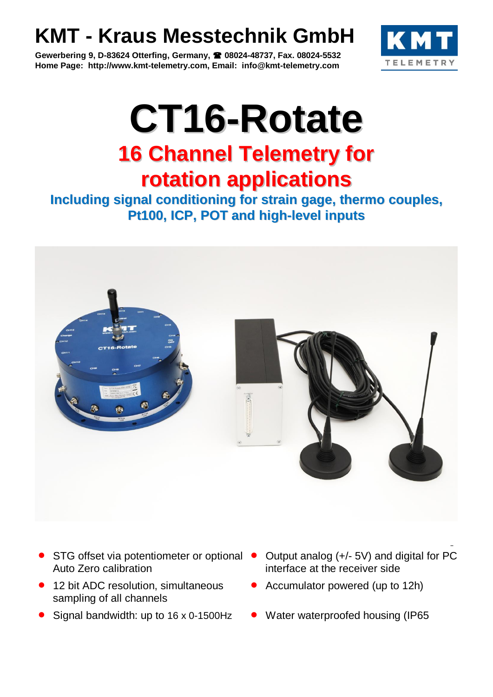# **KMT - Kraus Messtechnik GmbH**

**Gewerbering 9, D-83624 Otterfing, Germany, 08024-48737, Fax. 08024-5532 Home Page: http://www.kmt-telemetry.com, Email: info@kmt-telemetry.com**



# **CT16-Rotate 16 Channel Telemetry for rotation applications**

**Including signal conditioning for strain gage, thermo couples, Pt100, ICP, POT and high-level inputs**



- STG offset via potentiometer or optional Auto Zero calibration
- 12 bit ADC resolution, simultaneous sampling of all channels
- Signal bandwidth: up to 16 x 0-1500Hz Water waterproofed housing (IP65
- Output analog (+/- 5V) and digital for PC interface at the receiver side
- Accumulator powered (up to 12h)
-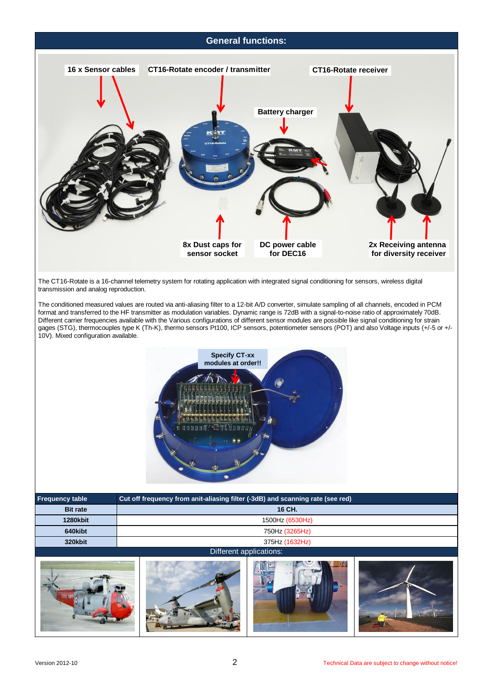# **General functions: Battery charger CT16-Rotate encoder / transmitter CT16-Rotate receiver DC power cable for DEC16 8x Dust caps for sensor socket 2x Receiving antenna for diversity receiver 16 x Sensor cables**

The CT16-Rotate is a 16-channel telemetry system for rotating application with integrated signal conditioning for sensors, wireless digital transmission and analog reproduction.

The conditioned measured values are routed via anti-aliasing filter to a 12-bit A/D converter, simulate sampling of all channels, encoded in PCM format and transferred to the HF transmitter as modulation variables. Dynamic range is 72dB with a signal-to-noise ratio of approximately 70dB. Different carrier frequencies available with the Various configurations of different sensor modules are possible like signal conditioning for strain gages (STG), thermocouples type K (Th-K), thermo sensors Pt100, ICP sensors, potentiometer sensors (POT) and also Voltage inputs (+/-5 or +/-10V). Mixed configuration available.



| <b>Frequency table</b>  | Cut off frequency from anit-aliasing filter (-3dB) and scanning rate (see red) |  |  |
|-------------------------|--------------------------------------------------------------------------------|--|--|
| <b>Bit rate</b>         | 16 CH.                                                                         |  |  |
| <b>1280kbit</b>         | 1500Hz (6530Hz)                                                                |  |  |
| 640kibt                 | 750Hz (3265Hz)                                                                 |  |  |
| 320kbit                 | 375Hz (1632Hz)                                                                 |  |  |
| Different applications: |                                                                                |  |  |
|                         |                                                                                |  |  |

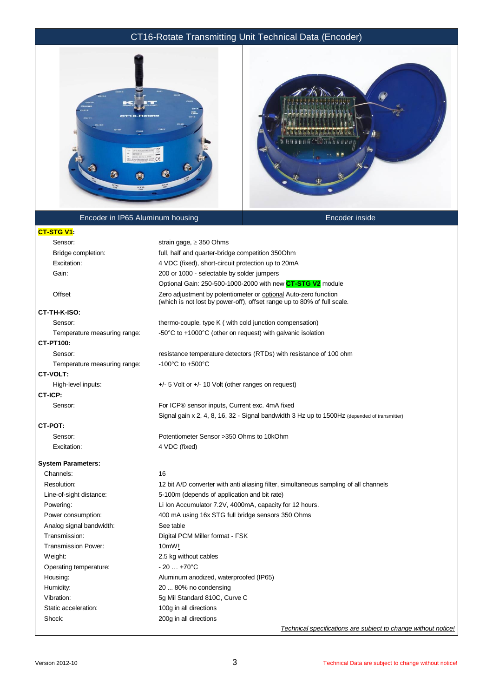## CT16-Rotate Transmitting Unit Technical Data (Encoder)





#### Encoder in IP65 Aluminum housing Encoder inside Encoder inside

### **CT-STG V1:**

| .                  |                                                                                                                                            |
|--------------------|--------------------------------------------------------------------------------------------------------------------------------------------|
| Sensor:            | strain gage, $\geq$ 350 Ohms                                                                                                               |
| Bridge completion: | full, half and quarter-bridge competition 3500hm                                                                                           |
| Excitation:        | 4 VDC (fixed), short-circuit protection up to 20mA                                                                                         |
| Gain:              | 200 or 1000 - selectable by solder jumpers                                                                                                 |
|                    | Optional Gain: 250-500-1000-2000 with new <b>CT-STG V2</b> module                                                                          |
| Offset             | Zero adjustment by potentiometer or optional Auto-zero function<br>(which is not lost by power-off), offset range up to 80% of full scale. |

## **CT-TH-K-ISO:**

| Sensor:                      | thermo-couple, type K ( with cold junction compensation)                                       |
|------------------------------|------------------------------------------------------------------------------------------------|
| Temperature measuring range: | -50 $\degree$ C to +1000 $\degree$ C (other on request) with galvanic isolation                |
| CT-PT100:                    |                                                                                                |
| Sensor:                      | resistance temperature detectors (RTDs) with resistance of 100 ohm                             |
| Temperature measuring range: | $-100^{\circ}$ C to $+500^{\circ}$ C                                                           |
| CT-VOLT:                     |                                                                                                |
| High-level inputs:           | $+/-$ 5 Volt or $+/-$ 10 Volt (other ranges on request)                                        |
| CT-ICP:                      |                                                                                                |
| Sensor:                      | For ICP® sensor inputs, Current exc. 4mA fixed                                                 |
|                              | Signal gain x 2, 4, 8, 16, 32 - Signal bandwidth 3 Hz up to 1500Hz (depended of transmitter)   |
| CT-POT:                      |                                                                                                |
| Sensor:                      | Potentiometer Sensor > 350 Ohms to 10kOhm                                                      |
| Excitation:                  | 4 VDC (fixed)                                                                                  |
| <b>System Parameters:</b>    |                                                                                                |
| Channels:                    | 16                                                                                             |
| Resolution:                  | 12 bit A/D converter with anti aliasing filter, simultaneous sampling of all channels          |
| Line-of-sight distance:      | 5-100m (depends of application and bit rate)                                                   |
| Powering:                    | Li Ion Accumulator 7.2V, 4000mA, capacity for 12 hours.                                        |
| Decess experience diam.      | $100 \div 1$ $\cdots$ $10 \div 10$ $\cdots$ $100$ $\cdots$ $100$ $\cdots$ $100$ $\cdots$ $100$ |

Power consumption: 400 mA using 16x STG full bridge sensors 350 Ohms Analog signal bandwidth: See table Transmission: Digital PCM Miller format - FSK Transmission Power: 10mW! Weight: 2.5 kg without cables Operating temperature: - 20 ... +70°C Housing: Aluminum anodized, waterproofed (IP65) Humidity: 20 ... 80% no condensing Vibration: 5g Mil Standard 810C, Curve C Static acceleration: 100g in all directions

Shock: 200g in all directions